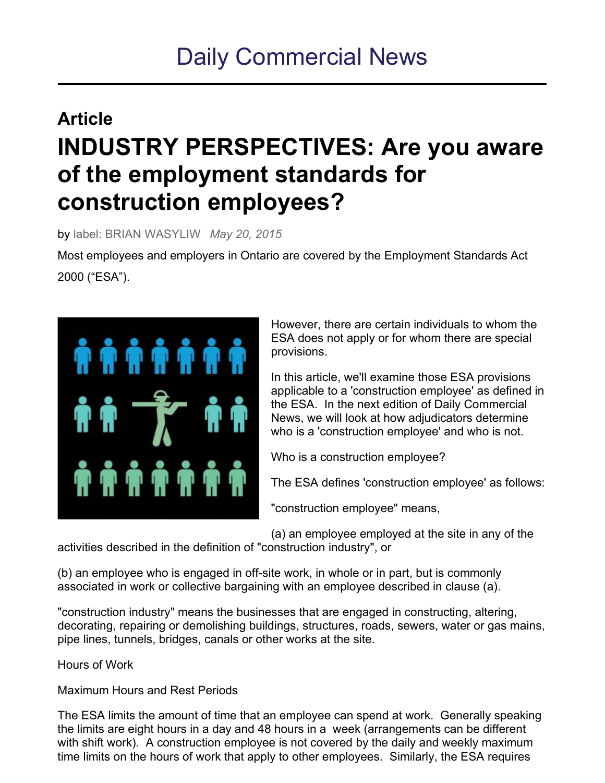# Daily Commercial News

## **Article INDUSTRY PERSPECTIVES: Are you aware of the employment standards for construction employees?**

by label: BRIAN WASYLIW *May 20, 2015*

Most employees and employers in Ontario are covered by the Employment Standards Act 2000 ("ESA").



However, there are certain individuals to whom the ESA does not apply or for whom there are special provisions.

In this article, we'll examine those ESA provisions applicable to a 'construction employee' as defined in the ESA. In the next edition of Daily Commercial News, we will look at how adjudicators determine who is a 'construction employee' and who is not.

Who is a construction employee?

The ESA defines 'construction employee' as follows:

"construction employee" means,

(a) an employee employed at the site in any of the activities described in the definition of "construction industry", or

(b) an employee who is engaged in off-site work, in whole or in part, but is commonly associated in work or collective bargaining with an employee described in clause (a).

"construction industry" means the businesses that are engaged in constructing, altering, decorating, repairing or demolishing buildings, structures, roads, sewers, water or gas mains, pipe lines, tunnels, bridges, canals or other works at the site.

Hours of Work

Maximum Hours and Rest Periods

The ESA limits the amount of time that an employee can spend at work. Generally speaking the limits are eight hours in a day and 48 hours in a week (arrangements can be different with shift work). A construction employee is not covered by the daily and weekly maximum time limits on the hours of work that apply to other employees. Similarly, the ESA requires